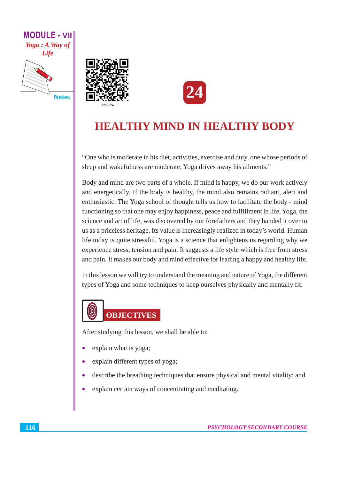

**Notes** 





# **HEALTHY MIND IN HEALTHY BODY**

"One who is moderate in his diet, activities, exercise and duty, one whose periods of sleep and wakefulness are moderate, Yoga drives away his ailments."

Body and mind are two parts of a whole. If mind is happy, we do our work actively and energetically. If the body is healthy, the mind also remains radiant, alert and enthusiastic. The Yoga school of thought tells us how to facilitate the body - mind functioning so that one may enjoy happiness, peace and fulfillment in life. Yoga, the science and art of life, was discovered by our forefathers and they handed it over to us as a priceless heritage. Its value is increasingly realized in today's world. Human life today is quite stressful. Yoga is a science that enlightens us regarding why we experience stress, tension and pain. It suggests a life style which is free from stress and pain. It makes our body and mind effective for leading a happy and healthy life.

In this lesson we will try to understand the meaning and nature of Yoga, the different types of Yoga and some techniques to keep ourselves physically and mentally fit.



After studying this lesson, we shall be able to:

- explain what is yoga;
- explain different types of yoga;
- describe the breathing techniques that ensure physical and mental vitality; and  $\bullet$
- $\bullet$ explain certain ways of concentrating and meditating.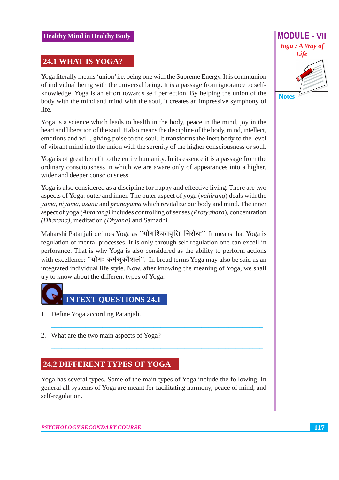# 24.1 WHAT IS YOGA?

Yoga literally means 'union' i.e. being one with the Supreme Energy. It is communion of individual being with the universal being. It is a passage from ignorance to selfknowledge. Yoga is an effort towards self perfection. By helping the union of the body with the mind and mind with the soul, it creates an impressive symphony of life.

Yoga is a science which leads to health in the body, peace in the mind, joy in the heart and liberation of the soul. It also means the discipline of the body, mind, intellect, emotions and will, giving poise to the soul. It transforms the inert body to the level of vibrant mind into the union with the serenity of the higher consciousness or soul.

Yoga is of great benefit to the entire humanity. In its essence it is a passage from the ordinary consciousness in which we are aware only of appearances into a higher, wider and deeper consciousness.

Yoga is also considered as a discipline for happy and effective living. There are two aspects of Yoga: outer and inner. The outer aspect of yoga (vahirang) deals with the yama, niyama, asana and pranayama which revitalize our body and mind. The inner aspect of yoga (Antarang) includes controlling of senses (Pratyahara), concentration (Dharana), meditation (Dhyana) and Samadhi.

Maharshi Patanjali defines Yoga as "योगश्चित्तवृत्ति निरोधः" It means that Yoga is regulation of mental processes. It is only through self regulation one can excell in perforance. That is why Yoga is also considered as the ability to perform actions with excellence: "योगः कर्मसकौशलं". In broad terms Yoga may also be said as an integrated individual life style. Now, after knowing the meaning of Yoga, we shall try to know about the different types of Yoga.



- 1. Define Yoga according Patanjali.
- 2. What are the two main aspects of Yoga?

# **24.2 DIFFERENT TYPES OF YOGA**

Yoga has several types. Some of the main types of Yoga include the following. In general all systems of Yoga are meant for facilitating harmony, peace of mind, and self-regulation.

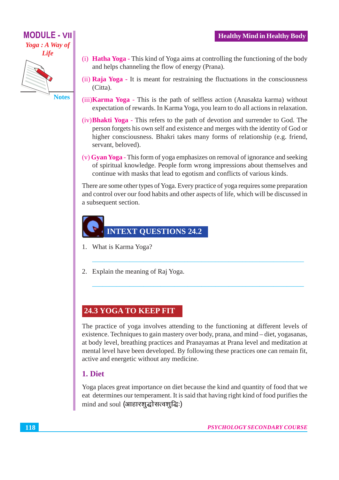# **MODULE - VII** Yoga: A Way of Life

**Notes** 

(i) **Hatha Yoga** - This kind of Yoga aims at controlling the functioning of the body and helps channeling the flow of energy (Prana).

**Healthy Mind in Healthy Body** 

- (ii) Raia Yoga It is meant for restraining the fluctuations in the consciousness (Citta).
- (iii) Karma Yoga This is the path of selfless action (Anasakta karma) without expectation of rewards. In Karma Yoga, you learn to do all actions in relaxation.
- (iv) **Bhakti Yoga** This refers to the path of devotion and surrender to God. The person forgets his own self and existence and merges with the identity of God or higher consciousness. Bhakri takes many forms of relationship (e.g. friend, servant, beloved).
- (v) Gyan Yoga This form of yoga emphasizes on removal of ignorance and seeking of spiritual knowledge. People form wrong impressions about themselves and continue with masks that lead to egotism and conflicts of various kinds.

There are some other types of Yoga. Every practice of yoga requires some preparation and control over our food habits and other aspects of life, which will be discussed in a subsequent section.



- 1. What is Karma Yoga?
- 2. Explain the meaning of Rai Yoga.

# **24.3 YOGA TO KEEP FIT**

The practice of yoga involves attending to the functioning at different levels of existence. Techniques to gain mastery over body, prana, and mind – diet, yogasanas, at body level, breathing practices and Pranayamas at Prana level and meditation at mental level have been developed. By following these practices one can remain fit, active and energetic without any medicine.

# 1. Diet

Yoga places great importance on diet because the kind and quantity of food that we eat determines our temperament. It is said that having right kind of food purifies the mind and soul (आहारशद्धोसत्वशद्धिः)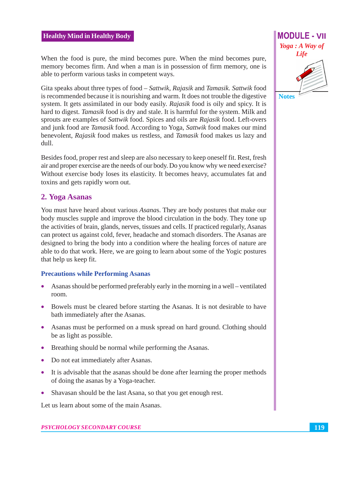When the food is pure, the mind becomes pure. When the mind becomes pure, memory becomes firm. And when a man is in possession of firm memory, one is able to perform various tasks in competent ways.

Gita speaks about three types of food – Sattwik, Rajasik and Tamasik. Sattwik food is recommended because it is nourishing and warm. It does not trouble the digestive system. It gets assimilated in our body easily. Rajasik food is oily and spicy. It is hard to digest. Tamasik food is dry and stale. It is harmful for the system. Milk and sprouts are examples of Sattwik food. Spices and oils are Rajasik food. Left-overs and junk food are Tamasik food. According to Yoga, Sattwik food makes our mind benevolent, Rajasik food makes us restless, and Tamasik food makes us lazy and dull.

Besides food, proper rest and sleep are also necessary to keep oneself fit. Rest, fresh air and proper exercise are the needs of our body. Do you know why we need exercise? Without exercise body loses its elasticity. It becomes heavy, accumulates fat and toxins and gets rapidly worn out.

### 2. Yoga Asanas

You must have heard about various Asanas. They are body postures that make our body muscles supple and improve the blood circulation in the body. They tone up the activities of brain, glands, nerves, tissues and cells. If practiced regularly, Asanas can protect us against cold, fever, headache and stomach disorders. The Asanas are designed to bring the body into a condition where the healing forces of nature are able to do that work. Here, we are going to learn about some of the Yogic postures that help us keep fit.

#### **Precautions while Performing Asanas**

- Asanas should be performed preferably early in the morning in a well ventilated room.
- Bowels must be cleared before starting the Asanas. It is not desirable to have bath immediately after the Asanas.
- Asanas must be performed on a musk spread on hard ground. Clothing should be as light as possible.
- Breathing should be normal while performing the Asanas.
- Do not eat immediately after Asanas.
- It is advisable that the asanas should be done after learning the proper methods of doing the asanas by a Yoga-teacher.
- Shavasan should be the last Asana, so that you get enough rest.  $\bullet$

Let us learn about some of the main Asanas.

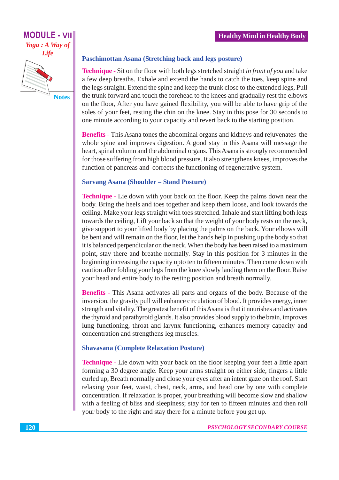# **MODULE - VII** Yoga: A Way of **Life**

**Notes** 

#### **Paschimottan Asana (Stretching back and legs posture)**

**Technique -** Sit on the floor with both legs stretched straight in front of you and take a few deep breaths. Exhale and extend the hands to catch the toes, keep spine and the legs straight. Extend the spine and keep the trunk close to the extended legs, Pull the trunk forward and touch the forehead to the knees and gradually rest the elbows on the floor, After you have gained flexibility, you will be able to have grip of the soles of your feet, resting the chin on the knee. Stay in this pose for 30 seconds to one minute according to your capacity and revert back to the starting position.

**Benefits - This Asana tones the abdominal organs and kidneys and rejuvenates the** whole spine and improves digestion. A good stay in this Asana will message the heart, spinal column and the abdominal organs. This Asana is strongly recommended for those suffering from high blood pressure. It also strengthens knees, improves the function of pancreas and corrects the functioning of regenerative system.

#### **Sarvang Asana (Shoulder - Stand Posture)**

**Technique -** Lie down with your back on the floor. Keep the palms down near the body. Bring the heels and toes together and keep them loose, and look towards the ceiling. Make your legs straight with toes stretched. Inhale and start lifting both legs towards the ceiling, Lift your back so that the weight of your body rests on the neck, give support to your lifted body by placing the palms on the back. Your elbows will be bent and will remain on the floor, let the hands help in pushing up the body so that it is balanced perpendicular on the neck. When the body has been raised to a maximum point, stay there and breathe normally. Stay in this position for 3 minutes in the beginning increasing the capacity upto ten to fifteen minutes. Then come down with caution after folding your legs from the knee slowly landing them on the floor. Raise your head and entire body to the resting position and breath normally.

**Benefits** - This Asana activates all parts and organs of the body. Because of the inversion, the gravity pull will enhance circulation of blood. It provides energy, inner strength and vitality. The greatest benefit of this Asana is that it nourishes and activates the thyroid and parathyroid glands. It also provides blood supply to the brain, improves lung functioning, throat and larynx functioning, enhances memory capacity and concentration and strengthens leg muscles.

#### **Shavasana (Complete Relaxation Posture)**

**Technique -** Lie down with your back on the floor keeping your feet a little apart forming a 30 degree angle. Keep your arms straight on either side, fingers a little curled up, Breath normally and close your eyes after an intent gaze on the roof. Start relaxing your feet, waist, chest, neck, arms, and head one by one with complete concentration. If relaxation is proper, your breathing will become slow and shallow with a feeling of bliss and sleepiness; stay for ten to fifteen minutes and then roll your body to the right and stay there for a minute before you get up.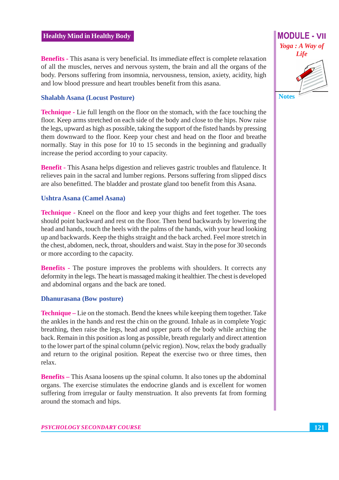**Benefits** - This asana is very beneficial. Its immediate effect is complete relaxation of all the muscles, nerves and nervous system, the brain and all the organs of the body. Persons suffering from insomnia, nervousness, tension, axiety, acidity, high and low blood pressure and heart troubles benefit from this asana.

#### **Shalabh Asana (Locust Posture)**

**Technique** - Lie full length on the floor on the stomach, with the face touching the floor. Keep arms stretched on each side of the body and close to the hips. Now raise the legs, upward as high as possible, taking the support of the fisted hands by pressing them downward to the floor. Keep your chest and head on the floor and breathe normally. Stay in this pose for 10 to 15 seconds in the beginning and gradually increase the period according to your capacity.

**Benefit - This Asana helps digestion and relieves gastric troubles and flatulence. It** relieves pain in the sacral and lumber regions. Persons suffering from slipped discs are also benefitted. The bladder and prostate gland too benefit from this Asana.

#### **Ushtra Asana (Camel Asana)**

**Technique** - Kneel on the floor and keep your thighs and feet together. The toes should point backward and rest on the floor. Then bend backwards by lowering the head and hands, touch the heels with the palms of the hands, with your head looking up and backwards. Keep the thighs straight and the back arched. Feel more stretch in the chest, abdomen, neck, throat, shoulders and waist. Stay in the pose for 30 seconds or more according to the capacity.

**Benefits** - The posture improves the problems with shoulders. It corrects any deformity in the legs. The heart is massaged making it healthier. The chest is developed and abdominal organs and the back are toned.

#### **Dhanurasana** (Bow posture)

**Technique** – Lie on the stomach. Bend the knees while keeping them together. Take the ankles in the hands and rest the chin on the ground. Inhale as in complete Yogic breathing, then raise the legs, head and upper parts of the body while arching the back. Remain in this position as long as possible, breath regularly and direct attention to the lower part of the spinal column (pelvic region). Now, relax the body gradually and return to the original position. Repeat the exercise two or three times, then relax.

**Benefits** – This Asana loosens up the spinal column. It also tones up the abdominal organs. The exercise stimulates the endocrine glands and is excellent for women suffering from irregular or faulty menstruation. It also prevents fat from forming around the stomach and hips.

**MODULE - VII**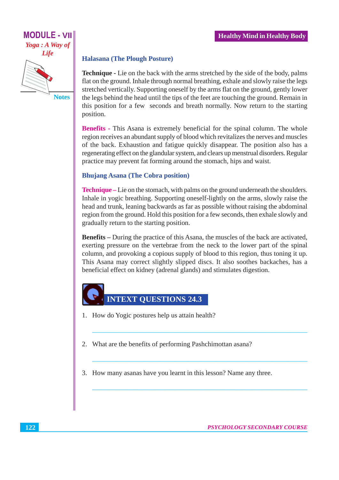# **MODULE - VII** Yoga: A Way of Life

**Notes** 

#### **Halasana (The Plough Posture)**

**Technique -** Lie on the back with the arms stretched by the side of the body, palms flat on the ground. Inhale through normal breathing, exhale and slowly raise the legs stretched vertically. Supporting oneself by the arms flat on the ground, gently lower the legs behind the head until the tips of the feet are touching the ground. Remain in this position for a few seconds and breath normally. Now return to the starting position.

**Benefits** - This Asana is extremely beneficial for the spinal column. The whole region receives an abundant supply of blood which revitalizes the nerves and muscles of the back. Exhaustion and fatigue quickly disappear. The position also has a regenerating effect on the glandular system, and clears up menstrual disorders. Regular practice may prevent fat forming around the stomach, hips and waist.

#### **Bhujang Asana (The Cobra position)**

**Technique** – Lie on the stomach, with palms on the ground underneath the shoulders. Inhale in yogic breathing. Supporting oneself-lightly on the arms, slowly raise the head and trunk, leaning backwards as far as possible without raising the abdominal region from the ground. Hold this position for a few seconds, then exhale slowly and gradually return to the starting position.

**Benefits** – During the practice of this Asana, the muscles of the back are activated, exerting pressure on the vertebrae from the neck to the lower part of the spinal column, and provoking a copious supply of blood to this region, thus toning it up. This Asana may correct slightly slipped discs. It also soothes backaches, has a beneficial effect on kidney (adrenal glands) and stimulates digestion.



- 1. How do Yogic postures help us attain health?
- 2. What are the benefits of performing Pashchimottan asana?
- 3. How many asanas have you learnt in this lesson? Name any three.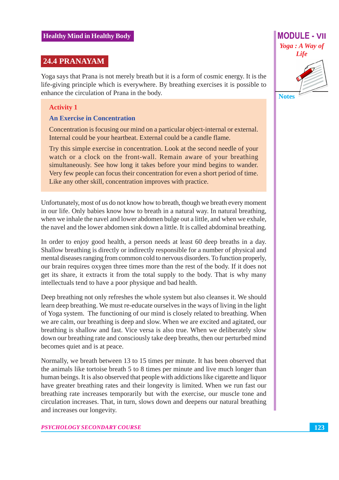#### 24.4 PRANAYAM

Yoga says that Prana is not merely breath but it is a form of cosmic energy. It is the life-giving principle which is everywhere. By breathing exercises it is possible to enhance the circulation of Prana in the body.

#### **Activity 1**

#### **An Exercise in Concentration**

Concentration is focusing our mind on a particular object-internal or external. Internal could be your heartbeat. External could be a candle flame.

Try this simple exercise in concentration. Look at the second needle of your watch or a clock on the front-wall. Remain aware of your breathing simultaneously. See how long it takes before your mind begins to wander. Very few people can focus their concentration for even a short period of time. Like any other skill, concentration improves with practice.

Unfortunately, most of us do not know how to breath, though we breath every moment in our life. Only babies know how to breath in a natural way. In natural breathing, when we inhale the navel and lower abdomen bulge out a little, and when we exhale, the navel and the lower abdomen sink down a little. It is called abdominal breathing.

In order to enjoy good health, a person needs at least 60 deep breaths in a day. Shallow breathing is directly or indirectly responsible for a number of physical and mental diseases ranging from common cold to nervous disorders. To function properly, our brain requires oxygen three times more than the rest of the body. If it does not get its share, it extracts it from the total supply to the body. That is why many intellectuals tend to have a poor physique and bad health.

Deep breathing not only refreshes the whole system but also cleanses it. We should learn deep breathing. We must re-educate ourselves in the ways of living in the light of Yoga system. The functioning of our mind is closely related to breathing. When we are calm, our breathing is deep and slow. When we are excited and agitated, our breathing is shallow and fast. Vice versa is also true. When we deliberately slow down our breathing rate and consciously take deep breaths, then our perturbed mind becomes quiet and is at peace.

Normally, we breath between 13 to 15 times per minute. It has been observed that the animals like tortoise breath 5 to 8 times per minute and live much longer than human beings. It is also observed that people with addictions like cigarette and liquor have greater breathing rates and their longevity is limited. When we run fast our breathing rate increases temporarily but with the exercise, our muscle tone and circulation increases. That, in turn, slows down and deepens our natural breathing and increases our longevity.



**Notes**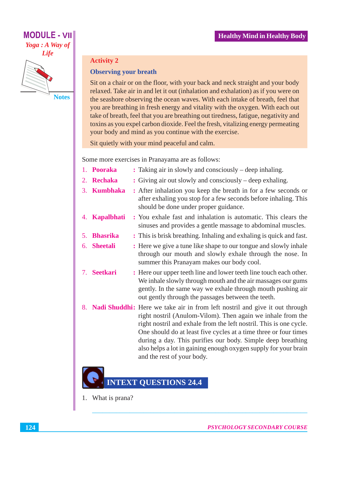# **MODULE - VII** Yoga: A Way of **Life**



#### **Activity 2**

#### **Observing your breath**

Sit on a chair or on the floor, with your back and neck straight and your body relaxed. Take air in and let it out (inhalation and exhalation) as if you were on the seashore observing the ocean waves. With each intake of breath, feel that you are breathing in fresh energy and vitality with the oxygen. With each out take of breath, feel that you are breathing out tiredness, fatigue, negativity and toxins as you expel carbon dioxide. Feel the fresh, vitalizing energy permeating your body and mind as you continue with the exercise.

Sit quietly with your mind peaceful and calm.

Some more exercises in Pranayama are as follows:

|    | 1. Pooraka      | : Taking air in slowly and consciously – deep inhaling.                                                                                                                                                                                                                                                                                                                                                                                                     |
|----|-----------------|-------------------------------------------------------------------------------------------------------------------------------------------------------------------------------------------------------------------------------------------------------------------------------------------------------------------------------------------------------------------------------------------------------------------------------------------------------------|
|    | 2. Rechaka      | : Giving air out slowly and consciously – deep exhaling.                                                                                                                                                                                                                                                                                                                                                                                                    |
|    | 3. Kumbhaka     | : After inhalation you keep the breath in for a few seconds or<br>after exhaling you stop for a few seconds before inhaling. This<br>should be done under proper guidance.                                                                                                                                                                                                                                                                                  |
|    | 4. Kapalbhati   | : You exhale fast and inhalation is automatic. This clears the<br>sinuses and provides a gentle massage to abdominal muscles.                                                                                                                                                                                                                                                                                                                               |
| 5. | <b>Bhasrika</b> | : This is brisk breathing. Inhaling and exhaling is quick and fast.                                                                                                                                                                                                                                                                                                                                                                                         |
| 6. | <b>Sheetali</b> | : Here we give a tune like shape to our tongue and slowly inhale<br>through our mouth and slowly exhale through the nose. In<br>summer this Pranayam makes our body cool.                                                                                                                                                                                                                                                                                   |
| 7. | <b>Seetkari</b> | : Here our upper teeth line and lower teeth line touch each other.<br>We inhale slowly through mouth and the air massages our gums<br>gently. In the same way we exhale through mouth pushing air<br>out gently through the passages between the teeth.                                                                                                                                                                                                     |
| 8. |                 | <b>Nadi Shuddhi:</b> Here we take air in from left nostril and give it out through<br>right nostril (Anulom-Vilom). Then again we inhale from the<br>right nostril and exhale from the left nostril. This is one cycle.<br>One should do at least five cycles at a time three or four times<br>during a day. This purifies our body. Simple deep breathing<br>also helps a lot in gaining enough oxygen supply for your brain<br>and the rest of your body. |

# **INTEXT QUESTIONS 24.4**

1. What is prana?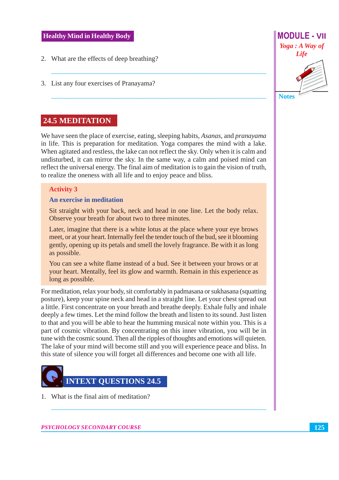- 2. What are the effects of deep breathing?
- 3. List any four exercises of Pranayama?

## **24.5 MEDITATION**

We have seen the place of exercise, eating, sleeping habits, Asanas, and pranayama in life. This is preparation for meditation. Yoga compares the mind with a lake. When agitated and restless, the lake can not reflect the sky. Only when it is calm and undisturbed, it can mirror the sky. In the same way, a calm and poised mind can reflect the universal energy. The final aim of meditation is to gain the vision of truth, to realize the oneness with all life and to enjoy peace and bliss.

#### **Activity 3**

#### An exercise in meditation

Sit straight with your back, neck and head in one line. Let the body relax. Observe your breath for about two to three minutes.

Later, imagine that there is a white lotus at the place where your eye brows meet, or at your heart. Internally feel the tender touch of the bud, see it blooming gently, opening up its petals and smell the lovely fragrance. Be with it as long as possible.

You can see a white flame instead of a bud. See it between your brows or at your heart. Mentally, feel its glow and warmth. Remain in this experience as long as possible.

For meditation, relax your body, sit comfortably in padmasana or sukhasana (squatting posture), keep your spine neck and head in a straight line. Let your chest spread out a little. First concentrate on your breath and breathe deeply. Exhale fully and inhale deeply a few times. Let the mind follow the breath and listen to its sound. Just listen to that and you will be able to hear the humming musical note within you. This is a part of cosmic vibration. By concentrating on this inner vibration, you will be in tune with the cosmic sound. Then all the ripples of thoughts and emotions will quieten. The lake of your mind will become still and you will experience peace and bliss. In this state of silence you will forget all differences and become one with all life.



1. What is the final aim of meditation?

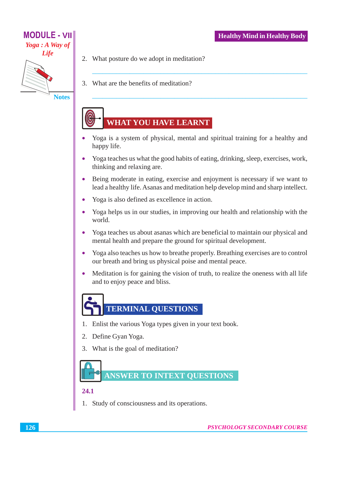

- 2. What posture do we adopt in meditation?
- 3. What are the benefits of meditation?

# **WHAT YOU HAVE LEARNT**

- Yoga is a system of physical, mental and spiritual training for a healthy and happy life.
- Yoga teaches us what the good habits of eating, drinking, sleep, exercises, work, thinking and relaxing are.
- Being moderate in eating, exercise and enjoyment is necessary if we want to  $\bullet$ lead a healthy life. Asanas and meditation help develop mind and sharp intellect.
- Yoga is also defined as excellence in action.  $\bullet$
- Yoga helps us in our studies, in improving our health and relationship with the  $\bullet$ world.
- Yoga teaches us about asanas which are beneficial to maintain our physical and  $\bullet$ mental health and prepare the ground for spiritual development.
- Yoga also teaches us how to breathe properly. Breathing exercises are to control  $\bullet$ our breath and bring us physical poise and mental peace.
- $\bullet$ Meditation is for gaining the vision of truth, to realize the oneness with all life and to enjoy peace and bliss.



- 1. Enlist the various Yoga types given in your text book.
- 2. Define Gyan Yoga.
- 3. What is the goal of meditation?



#### $24.1$

1. Study of consciousness and its operations.